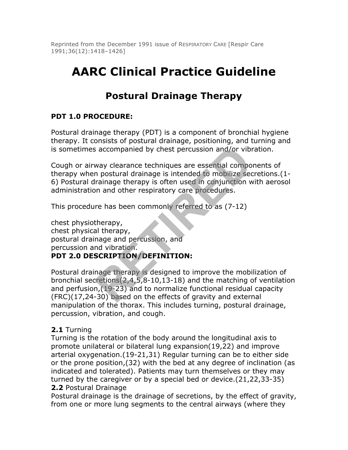Reprinted from the December 1991 issue of RESPIRATORY CARE [Respir Care 1991;36(12):1418–1426]

# **AARC Clinical Practice Guideline**

# **Postural Drainage Therapy**

# **PDT 1.0 PROCEDURE:**

Postural drainage therapy (PDT) is a component of bronchial hygiene therapy. It consists of postural drainage, positioning, and turning and is sometimes accompanied by chest percussion and/or vibration.

Cough or airway clearance techniques are essential components of therapy when postural drainage is intended to mobilize secretions.(1- 6) Postural drainage therapy is often used in conjunction with aerosol administration and other respiratory care procedures.

This procedure has been commonly referred to as (7-12)

chest physiotherapy, chest physical therapy, postural drainage and percussion, and percussion and vibration. **PDT 2.0 DESCRIPTION/DEFINITION:**

Postural drainage therapy is designed to improve the mobilization of bronchial secretions $(2,4,5,8-10,13-18)$  and the matching of ventilation and perfusion,(19-23) and to normalize functional residual capacity (FRC)(17,24-30) based on the effects of gravity and external manipulation of the thorax. This includes turning, postural drainage, percussion, vibration, and cough. Fractional divergency of the effects of gravity and setter<br>
way clearance techniques are essential compon<br>
n postural drainage is intended to mobilize sec<br>
rainage therapy is often used in conjunction w<br>
on and other respi

#### **2.1** Turning

Turning is the rotation of the body around the longitudinal axis to promote unilateral or bilateral lung expansion(19,22) and improve arterial oxygenation.(19-21,31) Regular turning can be to either side or the prone position,(32) with the bed at any degree of inclination (as indicated and tolerated). Patients may turn themselves or they may turned by the caregiver or by a special bed or device.(21,22,33-35) **2.2** Postural Drainage

Postural drainage is the drainage of secretions, by the effect of gravity, from one or more lung segments to the central airways (where they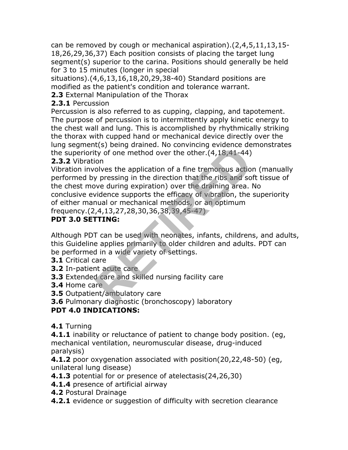can be removed by cough or mechanical aspiration).(2,4,5,11,13,15- 18,26,29,36,37) Each position consists of placing the target lung segment(s) superior to the carina. Positions should generally be held for 3 to 15 minutes (longer in special

situations).(4,6,13,16,18,20,29,38-40) Standard positions are modified as the patient's condition and tolerance warrant.

**2.3** External Manipulation of the Thorax

# **2.3.1** Percussion

Percussion is also referred to as cupping, clapping, and tapotement. The purpose of percussion is to intermittently apply kinetic energy to the chest wall and lung. This is accomplished by rhythmically striking the thorax with cupped hand or mechanical device directly over the lung segment(s) being drained. No convincing evidence demonstrates the superiority of one method over the other.(4,18,41-44) **2.3.2** Vibration

Vibration involves the application of a fine tremorous action (manually performed by pressing in the direction that the ribs and soft tissue of the chest move during expiration) over the draining area. No conclusive evidence supports the efficacy of vibration, the superiority of either manual or mechanical methods, or an optimum (ts) being uralised. No convincing evidence de<br>ty of one method over the other.(4,18,41-44)<br>on<br>olves the application of a fine tremorous actio<br>y pressing in the direction that the ribs and so<br>veel during expiration) over t

frequency.(2,4,13,27,28,30,36,38,39,45-47)

# **PDT 3.0 SETTING:**

Although PDT can be used with neonates, infants, childrens, and adults, this Guideline applies primarily to older children and adults. PDT can be performed in a wide variety of settings.

- **3.1** Critical care
- **3.2** In-patient acute care
- **3.3** Extended care and skilled nursing facility care
- **3.4** Home care
- **3.5** Outpatient/ambulatory care
- **3.6** Pulmonary diagnostic (bronchoscopy) laboratory

# **PDT 4.0 INDICATIONS:**

**4.1** Turning

**4.1.1** inability or reluctance of patient to change body position. (eg, mechanical ventilation, neuromuscular disease, drug-induced paralysis)

**4.1.2** poor oxygenation associated with position(20,22,48-50) (eg, unilateral lung disease)

- **4.1.3** potential for or presence of atelectasis(24,26,30)
- **4.1.4** presence of artificial airway
- **4.2** Postural Drainage
- **4.2.1** evidence or suggestion of difficulty with secretion clearance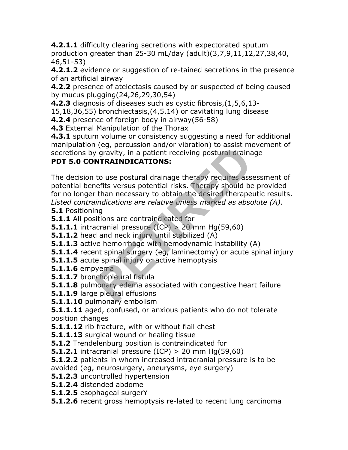**4.2.1.1** difficulty clearing secretions with expectorated sputum production greater than 25-30 mL/day (adult)(3,7,9,11,12,27,38,40, 46,51-53)

**4.2.1.2** evidence or suggestion of re-tained secretions in the presence of an artificial airway

**4.2.2** presence of atelectasis caused by or suspected of being caused by mucus plugging(24,26,29,30,54)

**4.2.3** diagnosis of diseases such as cystic fibrosis,(1,5,6,13-

15,18,36,55) bronchiectasis,(4,5,14) or cavitating lung disease

**4.2.4** presence of foreign body in airway(56-58)

**4.3** External Manipulation of the Thorax

**4.3.1** sputum volume or consistency suggesting a need for additional manipulation (eg, percussion and/or vibration) to assist movement of secretions by gravity, in a patient receiving postural drainage **PDT 5.0 CONTRAINDICATIONS:**

The decision to use postural drainage therapy requires assessment of potential benefits versus potential risks. Therapy should be provided for no longer than necessary to obtain the desired therapeutic results. *Listed contraindications are relative unless marked as absolute (A).* r (eg, percussion and or vibration) to assist metric of gravity, in a patient receiving postural draina<br> **RETAINDICATIONS:**<br>
to use postural drainage therapy requires asses<br>
refits versus potential risks. Therapy should be

**5.1** Positioning

**5.1.1** All positions are contraindicated for

- **5.1.1.1** intracranial pressure (ICP) > 20 mm Hg(59,60)
- **5.1.1.2** head and neck injury until stabilized (A)
- **5.1.1.3** active hemorrhage with hemodynamic instability (A)
- **5.1.1.4** recent spinal surgery (eg, laminectomy) or acute spinal injury
- **5.1.1.5** acute spinal injury or active hemoptysis
- **5.1.1.6** empyema
- **5.1.1.7** bronchopleural fistula
- **5.1.1.8** pulmonary edema associated with congestive heart failure
- **5.1.1.9** large pleural effusions
- **5.1.1.10** pulmonary embolism
- **5.1.1.11** aged, confused, or anxious patients who do not tolerate position changes
- **5.1.1.12** rib fracture, with or without flail chest
- **5.1.1.13** surgical wound or healing tissue
- **5.1.2** Trendelenburg position is contraindicated for
- **5.1.2.1** intracranial pressure (ICP) > 20 mm Hg(59,60)
- **5.1.2.2** patients in whom increased intracranial pressure is to be
- avoided (eg, neurosurgery, aneurysms, eye surgery)
- **5.1.2.3** uncontrolled hypertension
- **5.1.2.4** distended abdome
- **5.1.2.5** esophageal surgerY
- **5.1.2.6** recent gross hemoptysis re-lated to recent lung carcinoma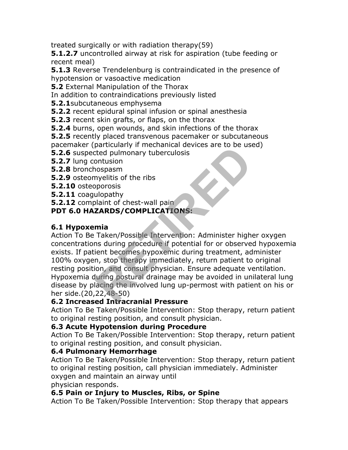treated surgically or with radiation therapy(59)

**5.1.2.7** uncontrolled airway at risk for aspiration (tube feeding or recent meal)

**5.1.3** Reverse Trendelenburg is contraindicated in the presence of hypotension or vasoactive medication

**5.2** External Manipulation of the Thorax

In addition to contraindications previously listed

**5.2.1**subcutaneous emphysema

**5.2.2** recent epidural spinal infusion or spinal anesthesia

**5.2.3** recent skin grafts, or flaps, on the thorax

**5.2.4** burns, open wounds, and skin infections of the thorax

**5.2.5** recently placed transvenous pacemaker or subcutaneous

pacemaker (particularly if mechanical devices are to be used)

**5.2.6** suspected pulmonary tuberculosis

**5.2.7** lung contusion

**5.2.8** bronchospasm

**5.2.9** osteomyelitis of the ribs

**5.2.10** osteoporosis

**5.2.11** coagulopathy

**5.2.12** complaint of chest-wall pain

#### **PDT 6.0 HAZARDS/COMPLICATIONS:**

#### **6.1 Hypoxemia**

Action To Be Taken/Possible Intervention: Administer higher oxygen concentrations during procedure if potential for or observed hypoxemia exists. If patient becomes hypoxemic during treatment, administer 100% oxygen, stop therapy immediately, return patient to original resting position, and consult physician. Ensure adequate ventilation. Hypoxemia during postural drainage may be avoided in unilateral lung disease by placing the involved lung up-permost with patient on his or her side.(20,22,48-50) particularly in mechanical devices are to be used<br>ted pulmonary tuberculosis<br>ontusion<br>ospasm<br>myelitis of the ribs<br>pporosis<br>ulopathy<br>laint of chest-wall pain<br>**ZARDS/COMPLICATIONS:**<br>mia<br>Taken/Possible Intervention: Administe

#### **6.2 Increased Intracranial Pressure**

Action To Be Taken/Possible Intervention: Stop therapy, return patient to original resting position, and consult physician.

#### **6.3 Acute Hypotension during Procedure**

Action To Be Taken/Possible Intervention: Stop therapy, return patient to original resting position, and consult physician.

#### **6.4 Pulmonary Hemorrhage**

Action To Be Taken/Possible Intervention: Stop therapy, return patient to original resting position, call physician immediately. Administer oxygen and maintain an airway until physician responds.

#### **6.5 Pain or Injury to Muscles, Ribs, or Spine**

Action To Be Taken/Possible Intervention: Stop therapy that appears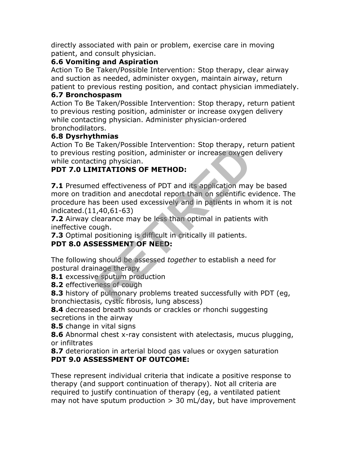directly associated with pain or problem, exercise care in moving patient, and consult physician.

#### **6.6 Vomiting and Aspiration**

Action To Be Taken/Possible Intervention: Stop therapy, clear airway and suction as needed, administer oxygen, maintain airway, return patient to previous resting position, and contact physician immediately.

#### **6.7 Bronchospasm**

Action To Be Taken/Possible Intervention: Stop therapy, return patient to previous resting position, administer or increase oxygen delivery while contacting physician. Administer physician-ordered bronchodilators.

#### **6.8 Dysrhythmias**

Action To Be Taken/Possible Intervention: Stop therapy, return patient to previous resting position, administer or increase oxygen delivery while contacting physician.

# **PDT 7.0 LIMITATIONS OF METHOD:**

**7.1** Presumed effectiveness of PDT and its application may be based more on tradition and anecdotal report than on scientific evidence. The procedure has been used excessively and in patients in whom it is not indicated.(11,40,61-63) Taken/Tossible Intervention: Stop therapy, re<br>esting position, administer or increase oxygen<br>ting physician.<br>**AITATIONS OF METHOD:**<br>deffectiveness of PDT and its application may<br>lition and anecdotal report than on scientif

**7.2** Airway clearance may be less than optimal in patients with ineffective cough.

**7.3** Optimal positioning is difficult in critically ill patients.

# **PDT 8.0 ASSESSMENT OF NEED:**

The following should be assessed *together* to establish a need for postural drainage therapy

**8.1** excessive sputum production

**8.2** effectiveness of cough

**8.3** history of pulmonary problems treated successfully with PDT (eg, bronchiectasis, cystic fibrosis, lung abscess)

**8.4** decreased breath sounds or crackles or rhonchi suggesting secretions in the airway

**8.5** change in vital signs

**8.6** Abnormal chest x-ray consistent with atelectasis, mucus plugging, or infiltrates

**8.7** deterioration in arterial blood gas values or oxygen saturation **PDT 9.0 ASSESSMENT OF OUTCOME:**

These represent individual criteria that indicate a positive response to therapy (and support continuation of therapy). Not all criteria are required to justify continuation of therapy (eg, a ventilated patient may not have sputum production  $> 30$  mL/day, but have improvement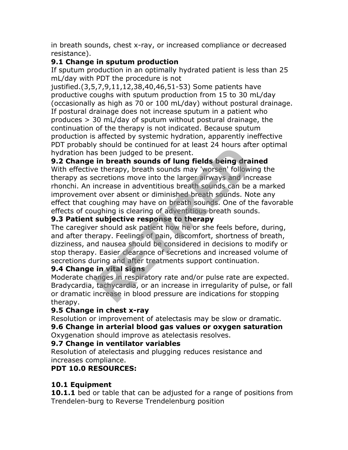in breath sounds, chest x-ray, or increased compliance or decreased resistance).

#### **9.1 Change in sputum production**

If sputum production in an optimally hydrated patient is less than 25 mL/day with PDT the procedure is not

justified.(3,5,7,9,11,12,38,40,46,51-53) Some patients have productive coughs with sputum production from 15 to 30 mL/day (occasionally as high as 70 or 100 mL/day) without postural drainage. If postural drainage does not increase sputum in a patient who produces > 30 mL/day of sputum without postural drainage, the continuation of the therapy is not indicated. Because sputum production is affected by systemic hydration, apparently ineffective PDT probably should be continued for at least 24 hours after optimal hydration has been judged to be present.

# **9.2 Change in breath sounds of lung fields being drained**

With effective therapy, breath sounds may 'worsen' following the therapy as secretions move into the larger airways and increase rhonchi. An increase in adventitious breath sounds can be a marked improvement over absent or diminished breath sounds. Note any effect that coughing may have on breath sounds. One of the favorable effects of coughing is clearing of adventitious breath sounds. Should be continued for at least 24 hours are<br>s been judged to be present.<br>in breath sounds of lung fields being drain<br>e therapy, breath sounds may 'worsen' followi<br>acretions move into the larger airways and inc<br>ncrease in

# **9.3 Patient subjective response to therapy**

The caregiver should ask patient how he or she feels before, during, and after therapy. Feelings of pain, discomfort, shortness of breath, dizziness, and nausea should be considered in decisions to modify or stop therapy. Easier clearance of secretions and increased volume of secretions during and after treatments support continuation.

#### **9.4 Change in vital signs**

Moderate changes in respiratory rate and/or pulse rate are expected. Bradycardia, tachycardia, or an increase in irregularity of pulse, or fall or dramatic increase in blood pressure are indications for stopping therapy.

#### **9.5 Change in chest x-ray**

Resolution or improvement of atelectasis may be slow or dramatic. **9.6 Change in arterial blood gas values or oxygen saturation** Oxygenation should improve as atelectasis resolves.

# **9.7 Change in ventilator variables**

Resolution of atelectasis and plugging reduces resistance and increases compliance.

# **PDT 10.0 RESOURCES:**

#### **10.1 Equipment**

**10.1.1** bed or table that can be adjusted for a range of positions from Trendelen-burg to Reverse Trendelenburg position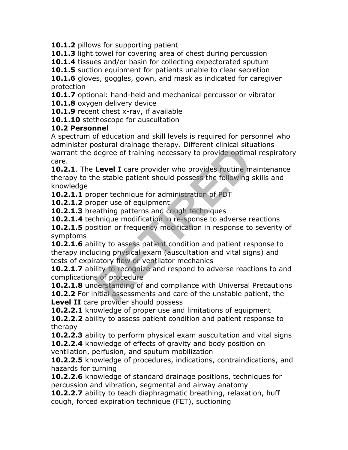**10.1.2** pillows for supporting patient

**10.1.3** light towel for covering area of chest during percussion

**10.1.4** tissues and/or basin for collecting expectorated sputum

**10.1.5** suction equipment for patients unable to clear secretion

**10.1.6** gloves, goggles, gown, and mask as indicated for caregiver protection

**10.1.7** optional: hand-held and mechanical percussor or vibrator

10.1.8 oxygen delivery device

**10.1.9** recent chest x-ray, if available

**10.1.10** stethoscope for auscultation

#### **10.2 Personnel**

A spectrum of education and skill levels is required for personnel who administer postural drainage therapy. Different clinical situations warrant the degree of training necessary to provide optimal respiratory care.

**10.2.1**. The **Level I** care provider who provides routine maintenance therapy to the stable patient should possess the following skills and knowledge **Example the physical conducts and degree of training necessary to provide optima**<br> **Level I** care provider who provides routine m<br>
le stable patient should possess the following<br>
oper technique for administration of PDT<br>

**10.2.1.1** proper technique for administration of PDT

**10.2.1.2** proper use of equipment

10.2.1.3 breathing patterns and cough techniques

**10.2.1.4** technique modification in re-sponse to adverse reactions

**10.2.1.5** position or frequency modification in response to severity of symptoms

**10.2.1.6** ability to assess patient condition and patient response to therapy including physical exam (auscultation and vital signs) and tests of expiratory flow or ventilator mechanics

**10.2.1.7** ability to recognize and respond to adverse reactions to and complications of procedure

**10.2.1.8** understanding of and compliance with Universal Precautions

**10.2.2** For initial assessments and care of the unstable patient, the **Level II** care provider should possess

**10.2.2.1** knowledge of proper use and limitations of equipment

**10.2.2.2** ability to assess patient condition and patient response to therapy

**10.2.2.3** ability to perform physical exam auscultation and vital signs **10.2.2.4** knowledge of effects of gravity and body position on ventilation, perfusion, and sputum mobilization

**10.2.2.5** knowledge of procedures, indications, contraindications, and hazards for turning

**10.2.2.6** knowledge of standard drainage positions, techniques for percussion and vibration, segmental and airway anatomy

**10.2.2.7** ability to teach diaphragmatic breathing, relaxation, huff cough, forced expiration technique (FET), suctioning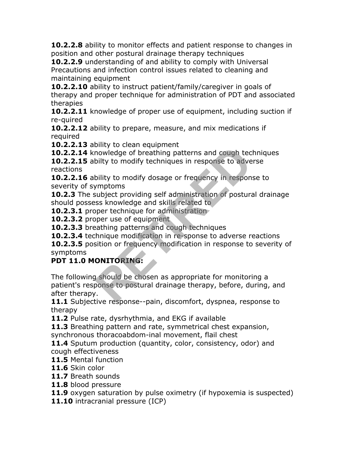**10.2.2.8** ability to monitor effects and patient response to changes in position and other postural drainage therapy techniques

**10.2.2.9** understanding of and ability to comply with Universal Precautions and infection control issues related to cleaning and maintaining equipment

**10.2.2.10** ability to instruct patient/family/caregiver in goals of therapy and proper technique for administration of PDT and associated therapies

**10.2.2.11** knowledge of proper use of equipment, including suction if re-quired

**10.2.2.12** ability to prepare, measure, and mix medications if required

10.2.2.13 ability to clean equipment

**10.2.2.14** knowledge of breathing patterns and cough techniques

**10.2.2.15** abilty to modify techniques in response to adverse reactions

**10.2.2.16** ability to modify dosage or frequency in response to severity of symptoms

**10.2.3** The subject providing self administration of postural drainage should possess knowledge and skills related to

**10.2.3.1** proper technique for administration

**10.2.3.2** proper use of equipment

**10.2.3.3** breathing patterns and cough techniques

**10.2.3.4** technique modification in re-sponse to adverse reactions

**10.2.3.5** position or frequency modification in response to severity of symptoms

# **PDT 11.0 MONITORING:**

The following should be chosen as appropriate for monitoring a patient's response to postural drainage therapy, before, during, and after therapy. mowledge of breathing patterns and cough technique of breathing patterns and cough techniques in response to adve<br>bility to modify techniques in response to adve<br>bility to modify dosage or frequency in respon<br>mptoms<br>subjec

**11.1** Subjective response--pain, discomfort, dyspnea, response to therapy

**11.2** Pulse rate, dysrhythmia, and EKG if available

**11.3** Breathing pattern and rate, symmetrical chest expansion, synchronous thoracoabdom-inal movement, flail chest

**11.4** Sputum production (quantity, color, consistency, odor) and cough effectiveness

**11.5** Mental function

**11.6** Skin color

**11.7** Breath sounds

**11.8** blood pressure

**11.9** oxygen saturation by pulse oximetry (if hypoxemia is suspected)

**11.10** intracranial pressure (ICP)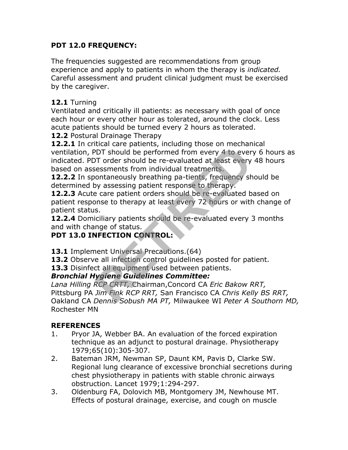# **PDT 12.0 FREQUENCY:**

The frequencies suggested are recommendations from group experience and apply to patients in whom the therapy is *indicated.* Careful assessment and prudent clinical judgment must be exercised by the caregiver.

#### **12.1** Turning

Ventilated and critically ill patients: as necessary with goal of once each hour or every other hour as tolerated, around the clock. Less acute patients should be turned every 2 hours as tolerated.

**12.2** Postural Drainage Therapy

**12.2.1** In critical care patients, including those on mechanical ventilation, PDT should be performed from every 4 to every 6 hours as indicated. PDT order should be re-evaluated at least every 48 hours based on assessments from individual treatments. From the preference and provided by the prince of the principal of the prince of the ever<br>PDT should be per-evaluated at least every<br>AT order should be re-evaluated at least every<br>essessments from individual treatments.<br>Fo

**12.2.2** In spontaneously breathing pa-tients, frequency should be determined by assessing patient response to therapy.

**12.2.3** Acute care patient orders should be re-evaluated based on patient response to therapy at least every 72 hours or with change of patient status.

**12.2.4** Domiciliary patients should be re-evaluated every 3 months and with change of status.

# **PDT 13.0 INFECTION CONTROL:**

13.1 Implement Universal Precautions.(64)

13.2 Observe all infection control quidelines posted for patient.

**13.3** Disinfect all equipment used between patients.

#### *Bronchial Hygiene Guidelines Committee:*

*Lana Hilling RCP CRTT,* Chairman,Concord CA *Eric Bakow RRT,* Pittsburg PA *Jim Fink RCP RRT,* San Francisco CA *Chris Kelly BS RRT,* Oakland CA *Dennis Sobush MA PT,* Milwaukee WI *Peter A Southorn MD,* Rochester MN

#### **REFERENCES**

- 1. Pryor JA, Webber BA. An evaluation of the forced expiration technique as an adjunct to postural drainage. Physiotherapy 1979;65(10):305-307.
- 2. Bateman JRM, Newman SP, Daunt KM, Pavis D, Clarke SW. Regional lung clearance of excessive bronchial secretions during chest physiotherapy in patients with stable chronic airways obstruction. Lancet 1979;1:294-297.
- 3. Oldenburg FA, Dolovich MB, Montgomery JM, Newhouse MT. Effects of postural drainage, exercise, and cough on muscle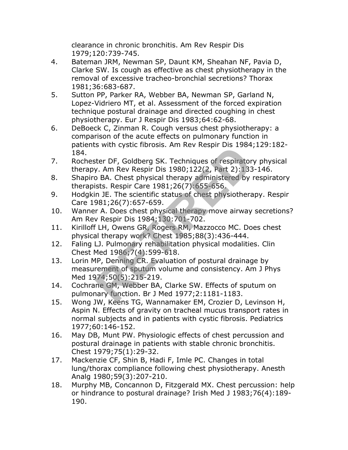clearance in chronic bronchitis. Am Rev Respir Dis 1979;120:739-745.

- 4. Bateman JRM, Newman SP, Daunt KM, Sheahan NF, Pavia D, Clarke SW. Is cough as effective as chest physiotherapy in the removal of excessive tracheo-bronchial secretions? Thorax 1981;36:683-687.
- 5. Sutton PP, Parker RA, Webber BA, Newman SP, Garland N, Lopez-Vidriero MT, et al. Assessment of the forced expiration technique postural drainage and directed coughing in chest physiotherapy. Eur J Respir Dis 1983;64:62-68.
- 6. DeBoeck C, Zinman R. Cough versus chest physiotherapy: a comparison of the acute effects on pulmonary function in patients with cystic fibrosis. Am Rev Respir Dis 1984;129:182- 184.
- 7. Rochester DF, Goldberg SK. Techniques of respiratory physical therapy. Am Rev Respir Dis 1980;122(2, Part 2):133-146.
- 8. Shapiro BA. Chest physical therapy administered by respiratory therapists. Respir Care 1981;26(7):655-656.
- 9. Hodgkin JE. The scientific status of chest physiotherapy. Respir Care 1981;26(7):657-659.
- 10. Wanner A. Does chest physical therapy move airway secretions? Am Rev Respir Dis 1984;130:701-702.
- 11. Kirilloff LH, Owens GR, Rogers RM, Mazzocco MC. Does chest physical therapy work? Chest 1985;88(3):436-444.
- 12. Faling LJ. Pulmonary rehabilitation physical modalities. Clin Chest Med 1986;7(4):599-618.
- 13. Lorin MP, Denning CR. Evaluation of postural drainage by measurement of sputum volume and consistency. Am J Phys Med 1974;50(5):215-219. Is with cystic infosis. Am Nev Nespir Dis 1964<br>
Retr DF, Goldberg SK. Techniques of respiratory.<br>
The Respir Dis 1980;122(2, Part 2):133<br>
BA. Chest physical therapy administered by<br>
Issts. Respir Care 1981;26(7):655-656.<br>
- 14. Cochrane GM, Webber BA, Clarke SW. Effects of sputum on pulmonary function. Br J Med 1977;2:1181-1183.
- 15. Wong JW, Keens TG, Wannamaker EM, Crozier D, Levinson H, Aspin N. Effects of gravity on tracheal mucus transport rates in normal subjects and in patients with cystic fibrosis. Pediatrics 1977;60:146-152.
- 16. May DB, Munt PW. Physiologic effects of chest percussion and postural drainage in patients with stable chronic bronchitis. Chest 1979;75(1):29-32.
- 17. Mackenzie CF, Shin B, Hadi F, Imle PC. Changes in total lung/thorax compliance following chest physiotherapy. Anesth Analg 1980;59(3):207-210.
- 18. Murphy MB, Concannon D, Fitzgerald MX. Chest percussion: help or hindrance to postural drainage? Irish Med J 1983;76(4):189- 190.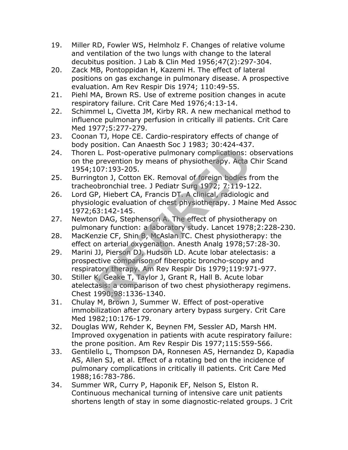- 19. Miller RD, Fowler WS, Helmholz F. Changes of relative volume and ventilation of the two lungs with change to the lateral decubitus position. J Lab & Clin Med 1956;47(2):297-304.
- 20. Zack MB, Pontoppidan H, Kazemi H. The effect of lateral positions on gas exchange in pulmonary disease. A prospective evaluation. Am Rev Respir Dis 1974; 110:49-55.
- 21. Piehl MA, Brown RS. Use of extreme position changes in acute respiratory failure. Crit Care Med 1976;4:13-14.
- 22. Schimmel L, Civetta JM, Kirby RR. A new mechanical method to influence pulmonary perfusion in critically ill patients. Crit Care Med 1977;5:277-279.
- 23. Coonan TJ, Hope CE. Cardio-respiratory effects of change of body position. Can Anaesth Soc J 1983; 30:424-437.
- 24. Thoren L. Post-operative pulmonary complications: observations on the prevention by means of physiotherapy. Acta Chir Scand 1954;107:193-205.
- 25. Burrington J, Cotton EK. Removal of foreign bodies from the tracheobronchial tree. J Pediatr Surg 1972; 7:119-122.
- 26. Lord GP, Hiebert CA, Francis DT. A clinical, radiologic and physiologic evaluation of chest physiotherapy. J Maine Med Assoc 1972;63:142-145.
- 27. Newton DAG, Stephenson A. The effect of physiotherapy on pulmonary function: a laboratory study. Lancet 1978;2:228-230.
- 28. MacKenzie CF, Shin B, McAslan TC. Chest physiotherapy: the effect on arterial oxygenation. Anesth Analg 1978;57:28-30.
- 29. Marini JJ, Pierson DJ, Hudson LD. Acute lobar atelectasis: a prospective comparison of fiberoptic broncho-scopy and respiratory therapy. Am Rev Respir Dis 1979;119:971-977. U. Post-operative pulmonary complications: c<br>prevention by means of physiotherapy. Acta (07:193-205.<br>toon J, Cotton EK. Removal of foreign bodies fightnochial tree. J Pediatr Surg 1972; 7:119-12<br>P, Hiebert CA, Francis DT.
- 30. Stiller K, Geake T, Taylor J, Grant R, Hall B. Acute lobar atelectasis: a comparison of two chest physiotherapy regimens. Chest 1990;98:1336-1340.
- 31. Chulay M, Brown J, Summer W. Effect of post-operative immobilization after coronary artery bypass surgery. Crit Care Med 1982;10:176-179.
- 32. Douglas WW, Rehder K, Beynen FM, Sessler AD, Marsh HM. Improved oxygenation in patients with acute respiratory failure: the prone position. Am Rev Respir Dis 1977;115:559-566.
- 33. Gentilello L, Thompson DA, Ronnesen AS, Hernandez D, Kapadia AS, Allen SJ, et al. Effect of a rotating bed on the incidence of pulmonary complications in critically ill patients. Crit Care Med 1988;16:783-786.
- 34. Summer WR, Curry P, Haponik EF, Nelson S, Elston R. Continuous mechanical turning of intensive care unit patients shortens length of stay in some diagnostic-related groups. J Crit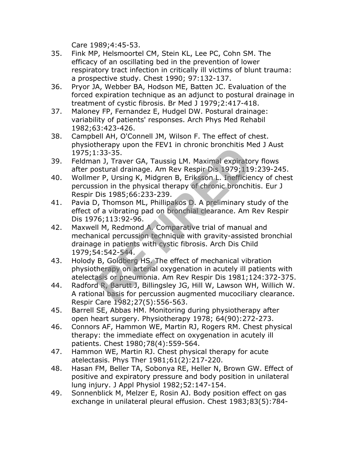Care 1989;4:45-53.

- 35. Fink MP, Helsmoortel CM, Stein KL, Lee PC, Cohn SM. The efficacy of an oscillating bed in the prevention of lower respiratory tract infection in critically ill victims of blunt trauma: a prospective study. Chest 1990; 97:132-137.
- 36. Pryor JA, Webber BA, Hodson ME, Batten JC. Evaluation of the forced expiration technique as an adjunct to postural drainage in treatment of cystic fibrosis. Br Med J 1979;2:417-418.
- 37. Maloney FP, Fernandez E, Hudgel DW. Postural drainage: variability of patients' responses. Arch Phys Med Rehabil 1982;63:423-426.
- 38. Campbell AH, O'Connell JM, Wilson F. The effect of chest. physiotherapy upon the FEV1 in chronic bronchitis Med J Aust 1975;1:33-35.
- 39. Feldman J, Traver GA, Taussig LM. Maximal expiratory flows after postural drainage. Am Rev Respir Dis 1979;119:239-245.
- 40. Wollmer P, Ursing K, Midgren B, Eriksson L. Inefficiency of chest percussion in the physical therapy of chronic bronchitis. Eur J Respir Dis 1985;66:233-239.
- 41. Pavia D, Thomson ML, Phillipakos D. A preliminary study of the effect of a vibrating pad on bronchial clearance. Am Rev Respir Dis 1976;113:92-96.
- 42. Maxwell M, Redmond A. Comparative trial of manual and mechanical percussion technique with gravity-assisted bronchial drainage in patients with cystic fibrosis. Arch Dis Child 1979;54:542-544. Example 12 and New York Contents and Sales in Care 1982-254.<br>
RET P, Ursing K, Midgren B, Eriksson L. Inefficies<br>
Fig. 1985;66:233-239.<br>
P, Thomson ML, Phillipakos D. A preliminary st<br>
of a vibrating pad on bronchial clear
- 43. Holody B, Goldberg HS. The effect of mechanical vibration physiotherapy on arterial oxygenation in acutely ill patients with atelectasis or pneumonia. Am Rev Respir Dis 1981;124:372-375.
- 44. Radford R, Barutt J, Billingsley JG, Hill W, Lawson WH, Willich W. A rational basis for percussion augmented mucociliary clearance. Respir Care 1982;27(5):556-563.
- 45. Barrell SE, Abbas HM. Monitoring during physiotherapy after open heart surgery. Physiotherapy 1978; 64(90):272-273.
- 46. Connors AF, Hammon WE, Martin RJ, Rogers RM. Chest physical therapy: the immediate effect on oxygenation in acutely ill patients. Chest 1980;78(4):559-564.
- 47. Hammon WE, Martin RJ. Chest physical therapy for acute atelectasis. Phys Ther 1981;61(2):217-220.
- 48. Hasan FM, Beller TA, Sobonya RE, Heller N, Brown GW. Effect of positive and expiratory pressure and body position in unilateral lung injury. J Appl Physiol 1982;52:147-154.
- 49. Sonnenblick M, Melzer E, Rosin AJ. Body position effect on gas exchange in unilateral pleural effusion. Chest 1983;83(5):784-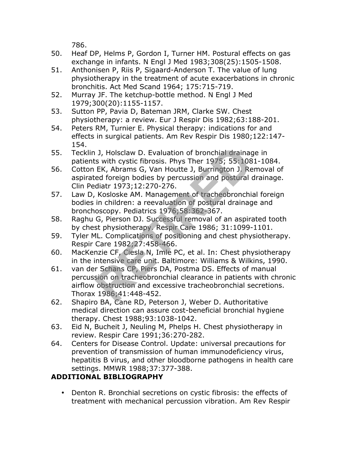786.

- 50. Heaf DP, Helms P, Gordon I, Turner HM. Postural effects on gas exchange in infants. N Engl J Med 1983;308(25):1505-1508.
- 51. Anthonisen P, Riis P, Sigaard-Anderson T. The value of lung physiotherapy in the treatment of acute exacerbations in chronic bronchitis. Act Med Scand 1964; 175:715-719.
- 52. Murray JF. The ketchup-bottle method. N Engl J Med 1979;300(20):1155-1157.
- 53. Sutton PP, Pavia D, Bateman JRM, Clarke SW. Chest physiotherapy: a review. Eur J Respir Dis 1982;63:188-201.
- 54. Peters RM, Turnier E. Physical therapy: indications for and effects in surgical patients. Am Rev Respir Dis 1980;122:147- 154.
- 55. Tecklin J, Holsclaw D. Evaluation of bronchial drainage in patients with cystic fibrosis. Phys Ther 1975; 55:1081-1084.
- 56. Cotton EK, Abrams G, Van Houtte J, Burrington J. Removal of aspirated foreign bodies by percussion and postural drainage. Clin Pediatr 1973;12:270-276.
- 57. Law D, Kosloske AM. Management of tracheobronchial foreign bodies in children: a reevaluation of postural drainage and bronchoscopy. Pediatrics 1976;58:362-367.
- 58. Raghu G, Pierson DJ. Successful removal of an aspirated tooth by chest physiotherapy. Respir Care 1986; 31:1099-1101.
- 59. Tyler ML. Complications of positioning and chest physiotherapy. Respir Care 1982;27:458-466.
- 60. MacKenzie CF, Ciesla N, Imle PC, et al. In: Chest physiotherapy in the intensive care unit. Baltimore: Williams & Wilkins, 1990.
- 61. van der Schans CP, Piers DA, Postma DS. Effects of manual percussion on tracheobronchial clearance in patients with chronic airflow obstruction and excessive tracheobronchial secretions. Thorax 1986;41:448-452. J, Holsclaw D. Evaluation of bronchial drainags<br>
EK, Abrams G, Van Houtte J, Burrington J. Reed foreign bodies by percussion and postural (diatr 1973;12:270-276.<br>
Kosloske AM. Management of tracheobronchi<br>
in children: a r
- 62. Shapiro BA, Cane RD, Peterson J, Weber D. Authoritative medical direction can assure cost-beneficial bronchial hygiene therapy. Chest 1988;93:1038-1042.
- 63. Eid N, Bucheit J, Neuling M, Phelps H. Chest physiotherapy in review. Respir Care 1991;36:270-282.
- 64. Centers for Disease Control. Update: universal precautions for prevention of transmission of human immunodeficiency virus, hepatitis B virus, and other bloodborne pathogens in health care settings. MMWR 1988;37:377-388.

# **ADDITIONAL BIBLIOGRAPHY**

• Denton R. Bronchial secretions on cystic fibrosis: the effects of treatment with mechanical percussion vibration. Am Rev Respir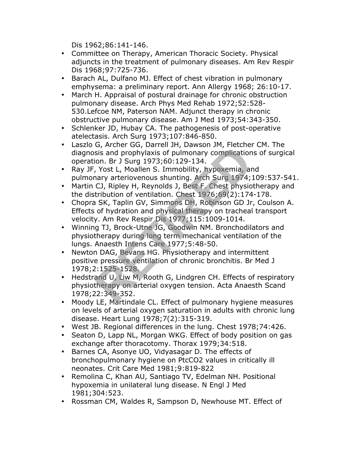Dis 1962;86:141-146.

- Committee on Therapy, American Thoracic Society. Physical adjuncts in the treatment of pulmonary diseases. Am Rev Respir Dis 1968;97:725-736.
- Barach AL, Dulfano MJ. Effect of chest vibration in pulmonary emphysema: a preliminary report. Ann Allergy 1968; 26:10-17.
- March H. Appraisal of postural drainage for chronic obstruction pulmonary disease. Arch Phys Med Rehab 1972;52:528- 530.Lefcoe NM, Paterson NAM. Adjunct therapy in chronic obstructive pulmonary disease. Am J Med 1973;54:343-350.
- Schlenker JD, Hubay CA. The pathogenesis of post-operative atelectasis. Arch Surg 1973;107:846-850.
- Laszlo G, Archer GG, Darrell JH, Dawson JM, Fletcher CM. The diagnosis and prophylaxis of pulmonary complications of surgical operation. Br J Surg 1973;60:129-134.
- Ray JF, Yost L, Moallen S. Immobility, hypoxemia, and pulmonary arteriovenous shunting. Arch Surg 1974;109:537-541.
- Martin CJ, Ripley H, Reynolds J, Best F. Chest physiotherapy and the distribution of ventilation. Chest 1976;69(2):174-178.
- Chopra SK, Taplin GV, Simmons DH, Robinson GD Jr, Coulson A. Effects of hydration and physical therapy on tracheal transport velocity. Am Rev Respir Dis 1977;115:1009-1014.
- Winning TJ, Brock-Utne JG, Goodwin NM. Bronchodilators and physiotherapy during long term mechanical ventilation of the lungs. Anaesth Intens Care 1977;5:48-50.
- Newton DAG, Bevans HG. Physiotherapy and intermittent positive pressure ventilation of chronic bronchitis. Br Med J 1978;2:1525-1528. or, Archer dd, Darlen Jil, Dawson Jil, Tecches<br>sis and prophylaxis of pulmonary complication<br>ion. Br J Surg 1973;60:129-134.<br>Xost L, Moallen S. Immobility, hypoxemia, ar<br>ary arteriovenous shunting. Arch Surg 1974;<br>CJ, Ripl
- Hedstrand U, Liw M, Rooth G, Lindgren CH. Effects of respiratory physiotherapy on arterial oxygen tension. Acta Anaesth Scand 1978;22:349-352.
- Moody LE, Martindale CL. Effect of pulmonary hygiene measures on levels of arterial oxygen saturation in adults with chronic lung disease. Heart Lung 1978;7(2):315-319.
- West JB. Regional differences in the lung. Chest 1978;74:426.
- Seaton D, Lapp NL, Morgan WKG. Effect of body position on gas exchange after thoracotomy. Thorax 1979;34:518.
- Barnes CA, Asonye UO, Vidyasagar D. The effects of bronchopulmonary hygiene on PtcCO2 values in critically ill neonates. Crit Care Med 1981;9:819-822
- Remolina C, Khan AU, Santiago TV, Edelman NH. Positional hypoxemia in unilateral lung disease. N Engl J Med 1981;304:523.
- Rossman CM, Waldes R, Sampson D, Newhouse MT. Effect of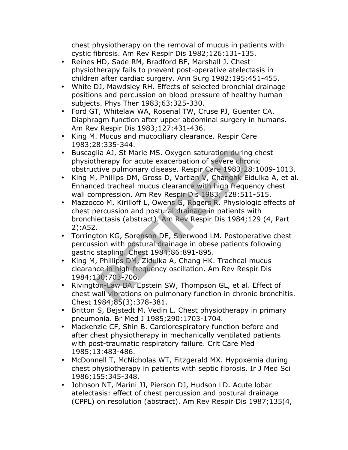chest physiotherapy on the removal of mucus in patients with cystic fibrosis. Am Rev Respir Dis 1982;126:131-135.

- Reines HD, Sade RM, Bradford BF, Marshall J. Chest physiotherapy fails to prevent post-operative atelectasis in children after cardiac surgery. Ann Surg 1982;195:451-455.
- White DJ, Mawdsley RH. Effects of selected bronchial drainage positions and percussion on blood pressure of healthy human subjects. Phys Ther 1983;63:325-330.
- Ford GT, Whitelaw WA, Rosenal TW, Cruse PJ, Guenter CA. Diaphragm function after upper abdominal surgery in humans. Am Rev Respir Dis 1983;127:431-436.
- King M. Mucus and mucociliary clearance. Respir Care 1983;28:335-344.
- Buscaglia AJ, St Marie MS. Oxygen saturation during chest physiotherapy for acute exacerbation of severe chronic obstructive pulmonary disease. Respir Care 1983;28:1009-1013.
- King M, Phillips DM, Gross D, Vartian V, Changhk Eidulka A, et al. Enhanced tracheal mucus clearance with high frequency chest wall compression. Am Rev Respir Dis 1983; 128:511-515.
- Mazzocco M, Kirilloff L, Owens G, Rogers R. Physiologic effects of chest percussion and postural drainage in patients with bronchiectasis (abstract). Am Rev Respir Dis 1984;129 (4, Part 2):A52. 10.3333334747<br>
Hia AJ, St Marie MS. Oxygen saturation during<br>
therapy for acute exacerbation of severe chror<br>
trive pulmonary disease. Respir Care 1983;28<br>
Phillips DM, Gross D, Vartian V, Changhk Eit<br>
red tracheal mucus c
- Torrington KG, Sorenson DE, Sherwood LM. Postoperative chest percussion with postural drainage in obese patients following gastric stapling. Chest 1984;86:891-895.
- King M, Phillips DM, Zidulka A, Chang HK. Tracheal mucus clearance in high-frequency oscillation. Am Rev Respir Dis 1984;130:703-706.
- Rivington-Law BA, Epstein SW, Thompson GL, et al. Effect of chest wall vibrations on pulmonary function in chronic bronchitis. Chest 1984;85(3):378-381.
- Britton S, Bejstedt M, Vedin L. Chest physiotherapy in primary pneumonia. Br Med J 1985;290:1703-1704.
- Mackenzie CF, Shin B. Cardiorespiratory function before and after chest physiotherapy in mechanically ventilated patients with post-traumatic respiratory failure. Crit Care Med 1985;13:483-486.
- McDonnell T, McNicholas WT, Fitzgerald MX. Hypoxemia during chest physiotherapy in patients with septic fibrosis. Ir J Med Sci 1986;155:345-348.
- Johnson NT, Marini JJ, Pierson DJ, Hudson LD. Acute lobar atelectasis: effect of chest percussion and postural drainage (CPPL) on resolution (abstract). Am Rev Respir Dis 1987;135(4,